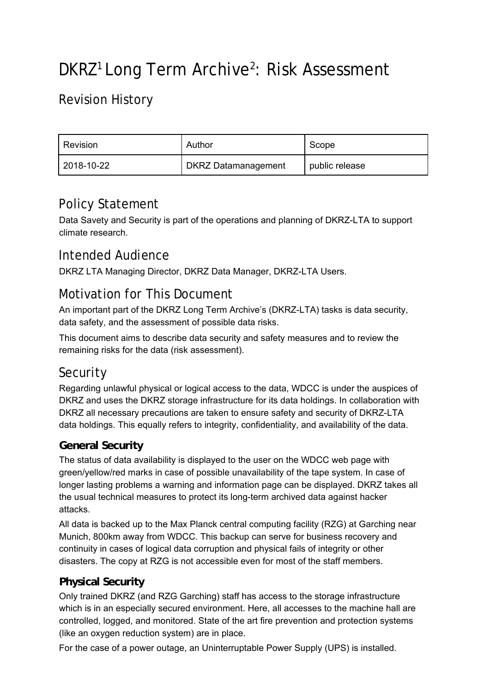# DKRZ<sup>1</sup> Long Term Archive<sup>2</sup>: Risk Assessment

# Revision History

| Revision   | Author                     | Scope          |
|------------|----------------------------|----------------|
| 2018-10-22 | <b>DKRZ Datamanagement</b> | public release |

## Policy Statement

Data Savety and Security is part of the operations and planning of DKRZ-LTA to support climate research.

## Intended Audience

DKRZ LTA Managing Director, DKRZ Data Manager, DKRZ-LTA Users.

# Motivation for This Document

An important part of the DKRZ Long Term Archive's (DKRZ-LTA) tasks is data security, data safety, and the assessment of possible data risks.

This document aims to describe data security and safety measures and to review the remaining risks for the data (risk assessment).

### Security

Regarding unlawful physical or logical access to the data, WDCC is under the auspices of DKRZ and uses the DKRZ storage infrastructure for its data holdings. In collaboration with DKRZ all necessary precautions are taken to ensure safety and security of DKRZ-LTA data holdings. This equally refers to integrity, confidentiality, and availability of the data.

#### **General Security**

The status of data availability is displayed to the user on the WDCC web page with green/yellow/red marks in case of possible unavailability of the tape system. In case of longer lasting problems a warning and information page can be displayed. DKRZ takes all the usual technical measures to protect its long-term archived data against hacker attacks.

All data is backed up to the Max Planck central computing facility (RZG) at Garching near Munich, 800km away from WDCC. This backup can serve for business recovery and continuity in cases of logical data corruption and physical fails of integrity or other disasters. The copy at RZG is not accessible even for most of the staff members.

#### **Physical Security**

Only trained DKRZ (and RZG Garching) staff has access to the storage infrastructure which is in an especially secured environment. Here, all accesses to the machine hall are controlled, logged, and monitored. State of the art fire prevention and protection systems (like an oxygen reduction system) are in place.

For the case of a power outage, an Uninterruptable Power Supply (UPS) is installed.